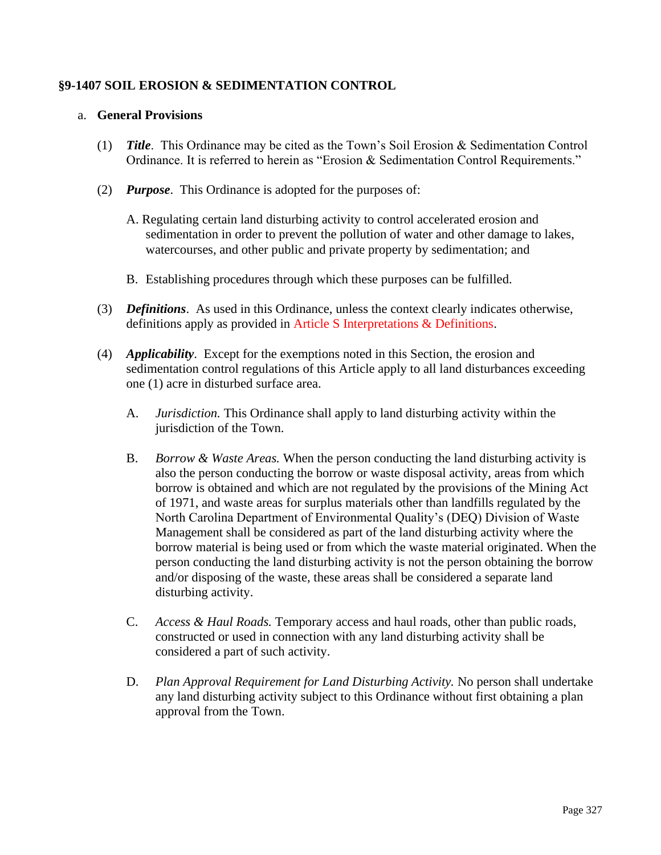## **§9-1407 SOIL EROSION & SEDIMENTATION CONTROL**

#### a. **General Provisions**

- (1) *Title*. This Ordinance may be cited as the Town's Soil Erosion & Sedimentation Control Ordinance. It is referred to herein as "Erosion & Sedimentation Control Requirements."
- (2) *Purpose*. This Ordinance is adopted for the purposes of:
	- A. Regulating certain land disturbing activity to control accelerated erosion and sedimentation in order to prevent the pollution of water and other damage to lakes, watercourses, and other public and private property by sedimentation; and
	- B. Establishing procedures through which these purposes can be fulfilled.
- (3) *Definitions*. As used in this Ordinance, unless the context clearly indicates otherwise, definitions apply as provided in Article S Interpretations & Definitions.
- (4) *Applicability*. Except for the exemptions noted in this Section, the erosion and sedimentation control regulations of this Article apply to all land disturbances exceeding one (1) acre in disturbed surface area.
	- A. *Jurisdiction.* This Ordinance shall apply to land disturbing activity within the jurisdiction of the Town.
	- B. *Borrow & Waste Areas.* When the person conducting the land disturbing activity is also the person conducting the borrow or waste disposal activity, areas from which borrow is obtained and which are not regulated by the provisions of the Mining Act of 1971, and waste areas for surplus materials other than landfills regulated by the North Carolina Department of Environmental Quality's (DEQ) Division of Waste Management shall be considered as part of the land disturbing activity where the borrow material is being used or from which the waste material originated. When the person conducting the land disturbing activity is not the person obtaining the borrow and/or disposing of the waste, these areas shall be considered a separate land disturbing activity.
	- C. *Access & Haul Roads.* Temporary access and haul roads, other than public roads, constructed or used in connection with any land disturbing activity shall be considered a part of such activity.
	- D. *Plan Approval Requirement for Land Disturbing Activity.* No person shall undertake any land disturbing activity subject to this Ordinance without first obtaining a plan approval from the Town.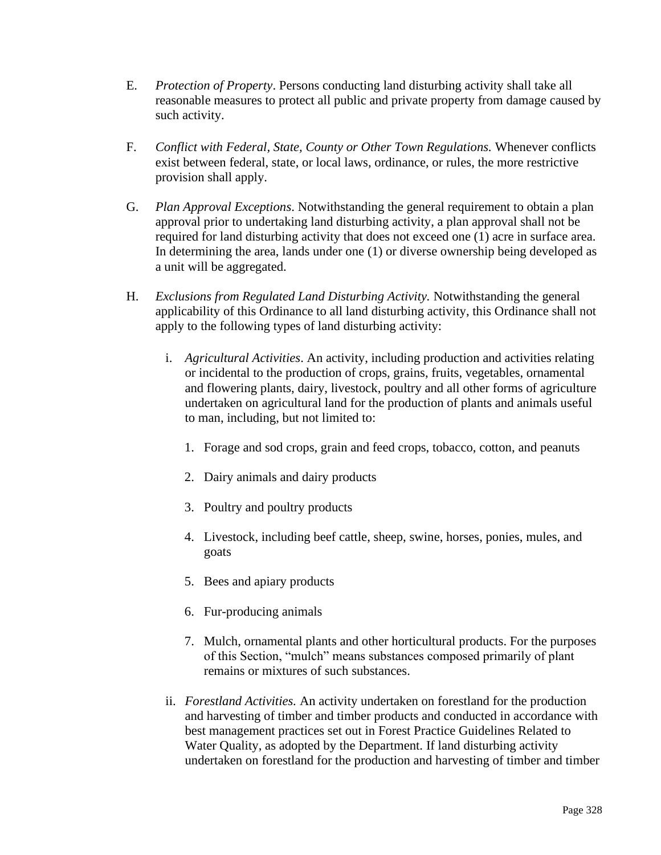- E. *Protection of Property*. Persons conducting land disturbing activity shall take all reasonable measures to protect all public and private property from damage caused by such activity.
- F. *Conflict with Federal, State, County or Other Town Regulations.* Whenever conflicts exist between federal, state, or local laws, ordinance, or rules, the more restrictive provision shall apply.
- G. *Plan Approval Exceptions*. Notwithstanding the general requirement to obtain a plan approval prior to undertaking land disturbing activity, a plan approval shall not be required for land disturbing activity that does not exceed one (1) acre in surface area. In determining the area, lands under one (1) or diverse ownership being developed as a unit will be aggregated.
- H. *Exclusions from Regulated Land Disturbing Activity.* Notwithstanding the general applicability of this Ordinance to all land disturbing activity, this Ordinance shall not apply to the following types of land disturbing activity:
	- i. *Agricultural Activities*. An activity, including production and activities relating or incidental to the production of crops, grains, fruits, vegetables, ornamental and flowering plants, dairy, livestock, poultry and all other forms of agriculture undertaken on agricultural land for the production of plants and animals useful to man, including, but not limited to:
		- 1. Forage and sod crops, grain and feed crops, tobacco, cotton, and peanuts
		- 2. Dairy animals and dairy products
		- 3. Poultry and poultry products
		- 4. Livestock, including beef cattle, sheep, swine, horses, ponies, mules, and goats
		- 5. Bees and apiary products
		- 6. Fur-producing animals
		- 7. Mulch, ornamental plants and other horticultural products. For the purposes of this Section, "mulch" means substances composed primarily of plant remains or mixtures of such substances.
	- ii. *Forestland Activities.* An activity undertaken on forestland for the production and harvesting of timber and timber products and conducted in accordance with best management practices set out in Forest Practice Guidelines Related to Water Quality, as adopted by the Department. If land disturbing activity undertaken on forestland for the production and harvesting of timber and timber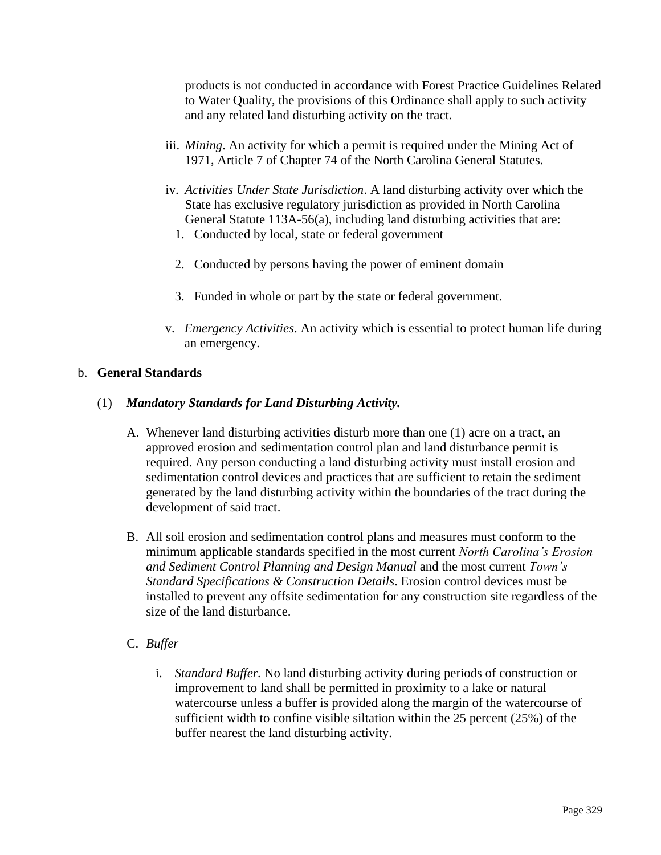products is not conducted in accordance with Forest Practice Guidelines Related to Water Quality, the provisions of this Ordinance shall apply to such activity and any related land disturbing activity on the tract.

- iii. *Mining*. An activity for which a permit is required under the Mining Act of 1971, Article 7 of Chapter 74 of the North Carolina General Statutes.
- iv. *Activities Under State Jurisdiction*. A land disturbing activity over which the State has exclusive regulatory jurisdiction as provided in North Carolina General Statute 113A-56(a), including land disturbing activities that are:
	- 1. Conducted by local, state or federal government
	- 2. Conducted by persons having the power of eminent domain
	- 3. Funded in whole or part by the state or federal government.
- v. *Emergency Activities*. An activity which is essential to protect human life during an emergency.

#### b. **General Standards**

#### (1) *Mandatory Standards for Land Disturbing Activity.*

- A. Whenever land disturbing activities disturb more than one (1) acre on a tract, an approved erosion and sedimentation control plan and land disturbance permit is required. Any person conducting a land disturbing activity must install erosion and sedimentation control devices and practices that are sufficient to retain the sediment generated by the land disturbing activity within the boundaries of the tract during the development of said tract.
- B. All soil erosion and sedimentation control plans and measures must conform to the minimum applicable standards specified in the most current *North Carolina's Erosion and Sediment Control Planning and Design Manual* and the most current *Town's Standard Specifications & Construction Details*. Erosion control devices must be installed to prevent any offsite sedimentation for any construction site regardless of the size of the land disturbance.

#### C. *Buffer*

i. *Standard Buffer.* No land disturbing activity during periods of construction or improvement to land shall be permitted in proximity to a lake or natural watercourse unless a buffer is provided along the margin of the watercourse of sufficient width to confine visible siltation within the 25 percent (25%) of the buffer nearest the land disturbing activity.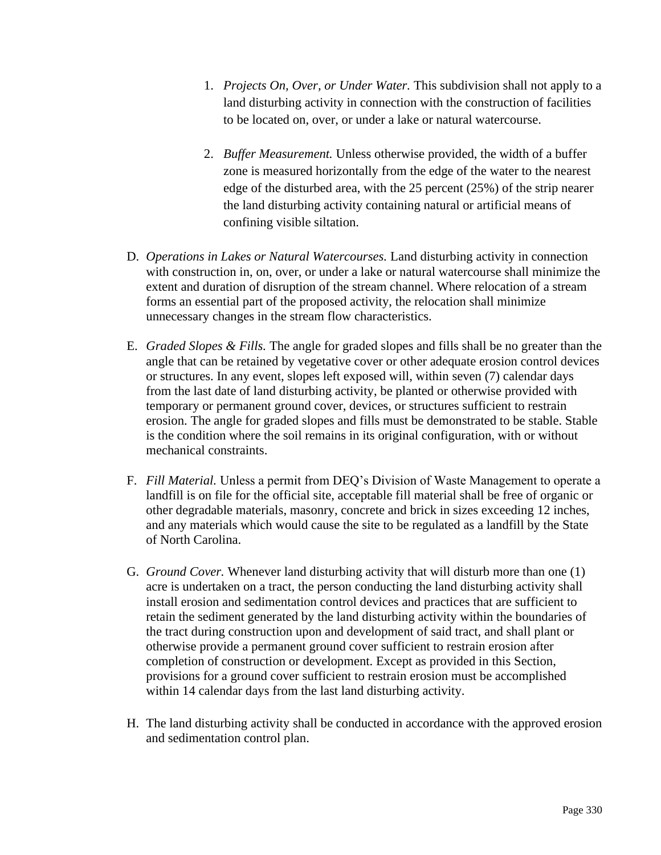- 1. *Projects On, Over, or Under Water.* This subdivision shall not apply to a land disturbing activity in connection with the construction of facilities to be located on, over, or under a lake or natural watercourse.
- 2. *Buffer Measurement.* Unless otherwise provided, the width of a buffer zone is measured horizontally from the edge of the water to the nearest edge of the disturbed area, with the 25 percent (25%) of the strip nearer the land disturbing activity containing natural or artificial means of confining visible siltation.
- D. *Operations in Lakes or Natural Watercourses.* Land disturbing activity in connection with construction in, on, over, or under a lake or natural watercourse shall minimize the extent and duration of disruption of the stream channel. Where relocation of a stream forms an essential part of the proposed activity, the relocation shall minimize unnecessary changes in the stream flow characteristics.
- E. *Graded Slopes & Fills.* The angle for graded slopes and fills shall be no greater than the angle that can be retained by vegetative cover or other adequate erosion control devices or structures. In any event, slopes left exposed will, within seven (7) calendar days from the last date of land disturbing activity, be planted or otherwise provided with temporary or permanent ground cover, devices, or structures sufficient to restrain erosion. The angle for graded slopes and fills must be demonstrated to be stable. Stable is the condition where the soil remains in its original configuration, with or without mechanical constraints.
- F. *Fill Material.* Unless a permit from DEQ's Division of Waste Management to operate a landfill is on file for the official site, acceptable fill material shall be free of organic or other degradable materials, masonry, concrete and brick in sizes exceeding 12 inches, and any materials which would cause the site to be regulated as a landfill by the State of North Carolina.
- G. *Ground Cover.* Whenever land disturbing activity that will disturb more than one (1) acre is undertaken on a tract, the person conducting the land disturbing activity shall install erosion and sedimentation control devices and practices that are sufficient to retain the sediment generated by the land disturbing activity within the boundaries of the tract during construction upon and development of said tract, and shall plant or otherwise provide a permanent ground cover sufficient to restrain erosion after completion of construction or development. Except as provided in this Section, provisions for a ground cover sufficient to restrain erosion must be accomplished within 14 calendar days from the last land disturbing activity.
- H. The land disturbing activity shall be conducted in accordance with the approved erosion and sedimentation control plan.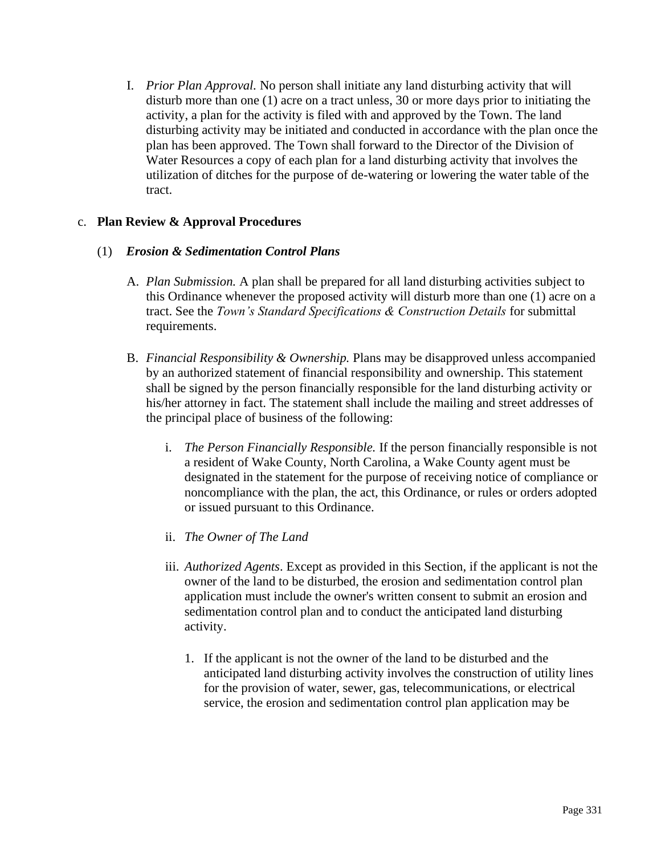I. *Prior Plan Approval.* No person shall initiate any land disturbing activity that will disturb more than one (1) acre on a tract unless, 30 or more days prior to initiating the activity, a plan for the activity is filed with and approved by the Town. The land disturbing activity may be initiated and conducted in accordance with the plan once the plan has been approved. The Town shall forward to the Director of the Division of Water Resources a copy of each plan for a land disturbing activity that involves the utilization of ditches for the purpose of de-watering or lowering the water table of the tract.

### c. **Plan Review & Approval Procedures**

### (1) *Erosion & Sedimentation Control Plans*

- A. *Plan Submission.* A plan shall be prepared for all land disturbing activities subject to this Ordinance whenever the proposed activity will disturb more than one (1) acre on a tract. See the *Town's Standard Specifications & Construction Details* for submittal requirements.
- B. *Financial Responsibility & Ownership.* Plans may be disapproved unless accompanied by an authorized statement of financial responsibility and ownership. This statement shall be signed by the person financially responsible for the land disturbing activity or his/her attorney in fact. The statement shall include the mailing and street addresses of the principal place of business of the following:
	- i. *The Person Financially Responsible.* If the person financially responsible is not a resident of Wake County, North Carolina, a Wake County agent must be designated in the statement for the purpose of receiving notice of compliance or noncompliance with the plan, the act, this Ordinance, or rules or orders adopted or issued pursuant to this Ordinance.
	- ii. *The Owner of The Land*
	- iii. *Authorized Agents*. Except as provided in this Section, if the applicant is not the owner of the land to be disturbed, the erosion and sedimentation control plan application must include the owner's written consent to submit an erosion and sedimentation control plan and to conduct the anticipated land disturbing activity.
		- 1. If the applicant is not the owner of the land to be disturbed and the anticipated land disturbing activity involves the construction of utility lines for the provision of water, sewer, gas, telecommunications, or electrical service, the erosion and sedimentation control plan application may be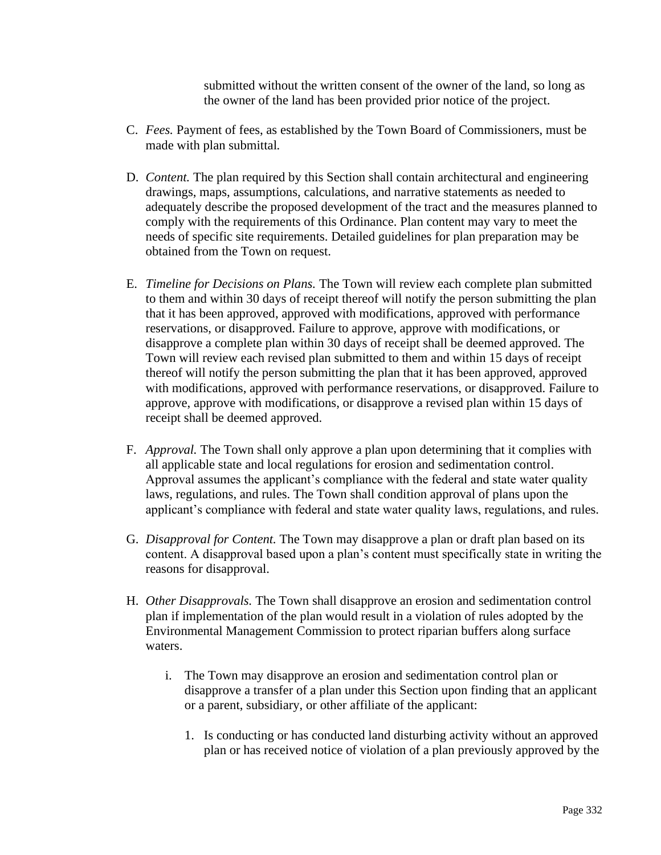submitted without the written consent of the owner of the land, so long as the owner of the land has been provided prior notice of the project.

- C. *Fees.* Payment of fees, as established by the Town Board of Commissioners, must be made with plan submittal*.*
- D. *Content.* The plan required by this Section shall contain architectural and engineering drawings, maps, assumptions, calculations, and narrative statements as needed to adequately describe the proposed development of the tract and the measures planned to comply with the requirements of this Ordinance. Plan content may vary to meet the needs of specific site requirements. Detailed guidelines for plan preparation may be obtained from the Town on request.
- E. *Timeline for Decisions on Plans.* The Town will review each complete plan submitted to them and within 30 days of receipt thereof will notify the person submitting the plan that it has been approved, approved with modifications, approved with performance reservations, or disapproved. Failure to approve, approve with modifications, or disapprove a complete plan within 30 days of receipt shall be deemed approved. The Town will review each revised plan submitted to them and within 15 days of receipt thereof will notify the person submitting the plan that it has been approved, approved with modifications, approved with performance reservations, or disapproved. Failure to approve, approve with modifications, or disapprove a revised plan within 15 days of receipt shall be deemed approved.
- F. *Approval.* The Town shall only approve a plan upon determining that it complies with all applicable state and local regulations for erosion and sedimentation control. Approval assumes the applicant's compliance with the federal and state water quality laws, regulations, and rules. The Town shall condition approval of plans upon the applicant's compliance with federal and state water quality laws, regulations, and rules.
- G. *Disapproval for Content.* The Town may disapprove a plan or draft plan based on its content. A disapproval based upon a plan's content must specifically state in writing the reasons for disapproval.
- H. *Other Disapprovals.* The Town shall disapprove an erosion and sedimentation control plan if implementation of the plan would result in a violation of rules adopted by the Environmental Management Commission to protect riparian buffers along surface waters.
	- i. The Town may disapprove an erosion and sedimentation control plan or disapprove a transfer of a plan under this Section upon finding that an applicant or a parent, subsidiary, or other affiliate of the applicant:
		- 1. Is conducting or has conducted land disturbing activity without an approved plan or has received notice of violation of a plan previously approved by the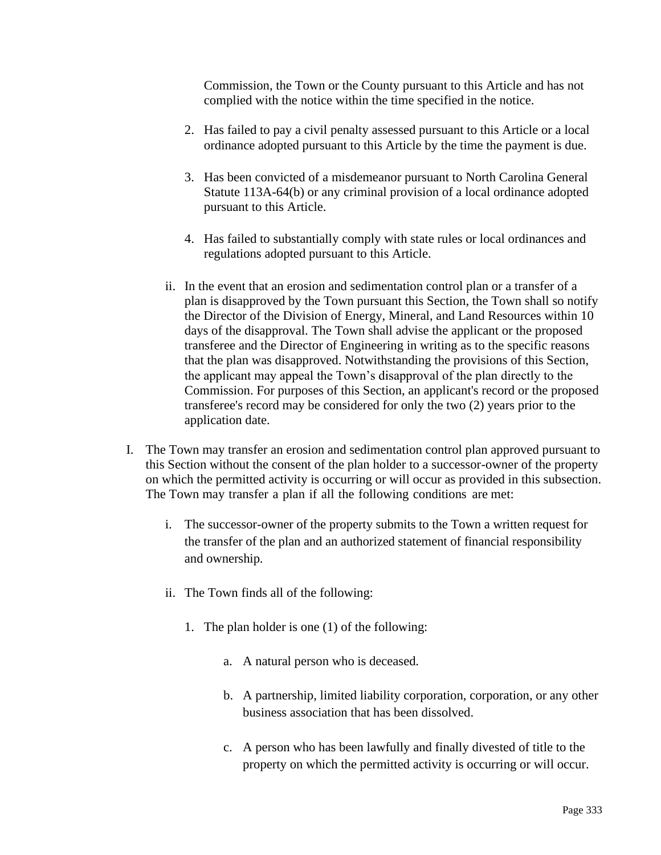Commission, the Town or the County pursuant to this Article and has not complied with the notice within the time specified in the notice.

- 2. Has failed to pay a civil penalty assessed pursuant to this Article or a local ordinance adopted pursuant to this Article by the time the payment is due.
- 3. Has been convicted of a misdemeanor pursuant to North Carolina General Statute 113A-64(b) or any criminal provision of a local ordinance adopted pursuant to this Article.
- 4. Has failed to substantially comply with state rules or local ordinances and regulations adopted pursuant to this Article.
- ii. In the event that an erosion and sedimentation control plan or a transfer of a plan is disapproved by the Town pursuant this Section, the Town shall so notify the Director of the Division of Energy, Mineral, and Land Resources within 10 days of the disapproval. The Town shall advise the applicant or the proposed transferee and the Director of Engineering in writing as to the specific reasons that the plan was disapproved. Notwithstanding the provisions of this Section, the applicant may appeal the Town's disapproval of the plan directly to the Commission. For purposes of this Section, an applicant's record or the proposed transferee's record may be considered for only the two (2) years prior to the application date.
- I. The Town may transfer an erosion and sedimentation control plan approved pursuant to this Section without the consent of the plan holder to a successor-owner of the property on which the permitted activity is occurring or will occur as provided in this subsection. The Town may transfer a plan if all the following conditions are met:
	- i. The successor-owner of the property submits to the Town a written request for the transfer of the plan and an authorized statement of financial responsibility and ownership.
	- ii. The Town finds all of the following:
		- 1. The plan holder is one (1) of the following:
			- a. A natural person who is deceased.
			- b. A partnership, limited liability corporation, corporation, or any other business association that has been dissolved.
			- c. A person who has been lawfully and finally divested of title to the property on which the permitted activity is occurring or will occur.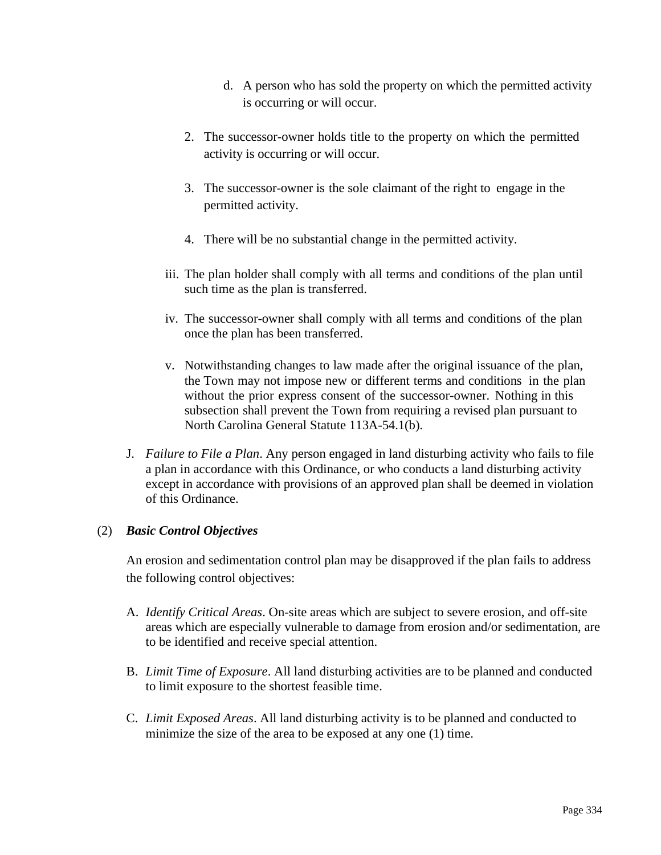- d. A person who has sold the property on which the permitted activity is occurring or will occur.
- 2. The successor-owner holds title to the property on which the permitted activity is occurring or will occur.
- 3. The successor-owner is the sole claimant of the right to engage in the permitted activity.
- 4. There will be no substantial change in the permitted activity.
- iii. The plan holder shall comply with all terms and conditions of the plan until such time as the plan is transferred.
- iv. The successor-owner shall comply with all terms and conditions of the plan once the plan has been transferred.
- v. Notwithstanding changes to law made after the original issuance of the plan, the Town may not impose new or different terms and conditions in the plan without the prior express consent of the successor-owner. Nothing in this subsection shall prevent the Town from requiring a revised plan pursuant to North Carolina General Statute 113A-54.1(b).
- J. *Failure to File a Plan*. Any person engaged in land disturbing activity who fails to file a plan in accordance with this Ordinance, or who conducts a land disturbing activity except in accordance with provisions of an approved plan shall be deemed in violation of this Ordinance.

## (2) *Basic Control Objectives*

An erosion and sedimentation control plan may be disapproved if the plan fails to address the following control objectives:

- A. *Identify Critical Areas*. On-site areas which are subject to severe erosion, and off-site areas which are especially vulnerable to damage from erosion and/or sedimentation, are to be identified and receive special attention.
- B. *Limit Time of Exposure*. All land disturbing activities are to be planned and conducted to limit exposure to the shortest feasible time.
- C. *Limit Exposed Areas*. All land disturbing activity is to be planned and conducted to minimize the size of the area to be exposed at any one (1) time.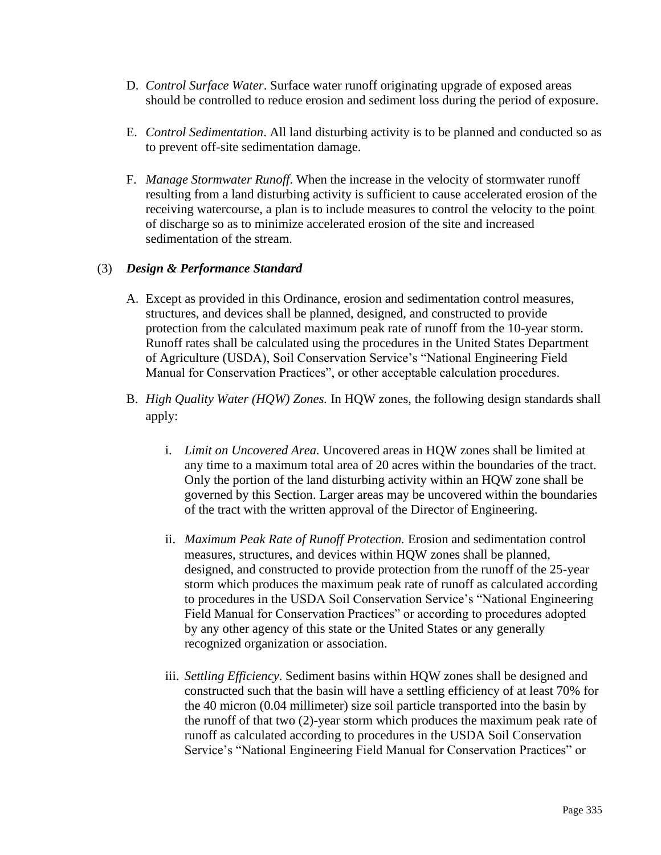- D. *Control Surface Water*. Surface water runoff originating upgrade of exposed areas should be controlled to reduce erosion and sediment loss during the period of exposure.
- E. *Control Sedimentation*. All land disturbing activity is to be planned and conducted so as to prevent off-site sedimentation damage.
- F. *Manage Stormwater Runoff*. When the increase in the velocity of stormwater runoff resulting from a land disturbing activity is sufficient to cause accelerated erosion of the receiving watercourse, a plan is to include measures to control the velocity to the point of discharge so as to minimize accelerated erosion of the site and increased sedimentation of the stream.

### (3) *Design & Performance Standard*

- A. Except as provided in this Ordinance, erosion and sedimentation control measures, structures, and devices shall be planned, designed, and constructed to provide protection from the calculated maximum peak rate of runoff from the 10-year storm. Runoff rates shall be calculated using the procedures in the United States Department of Agriculture (USDA), Soil Conservation Service's "National Engineering Field Manual for Conservation Practices", or other acceptable calculation procedures.
- B. *High Quality Water (HQW) Zones.* In HQW zones, the following design standards shall apply:
	- i. *Limit on Uncovered Area.* Uncovered areas in HQW zones shall be limited at any time to a maximum total area of 20 acres within the boundaries of the tract. Only the portion of the land disturbing activity within an HQW zone shall be governed by this Section. Larger areas may be uncovered within the boundaries of the tract with the written approval of the Director of Engineering.
	- ii. *Maximum Peak Rate of Runoff Protection.* Erosion and sedimentation control measures, structures, and devices within HQW zones shall be planned, designed, and constructed to provide protection from the runoff of the 25-year storm which produces the maximum peak rate of runoff as calculated according to procedures in the USDA Soil Conservation Service's "National Engineering Field Manual for Conservation Practices" or according to procedures adopted by any other agency of this state or the United States or any generally recognized organization or association.
	- iii. *Settling Efficiency*. Sediment basins within HQW zones shall be designed and constructed such that the basin will have a settling efficiency of at least 70% for the 40 micron (0.04 millimeter) size soil particle transported into the basin by the runoff of that two (2)-year storm which produces the maximum peak rate of runoff as calculated according to procedures in the USDA Soil Conservation Service's "National Engineering Field Manual for Conservation Practices" or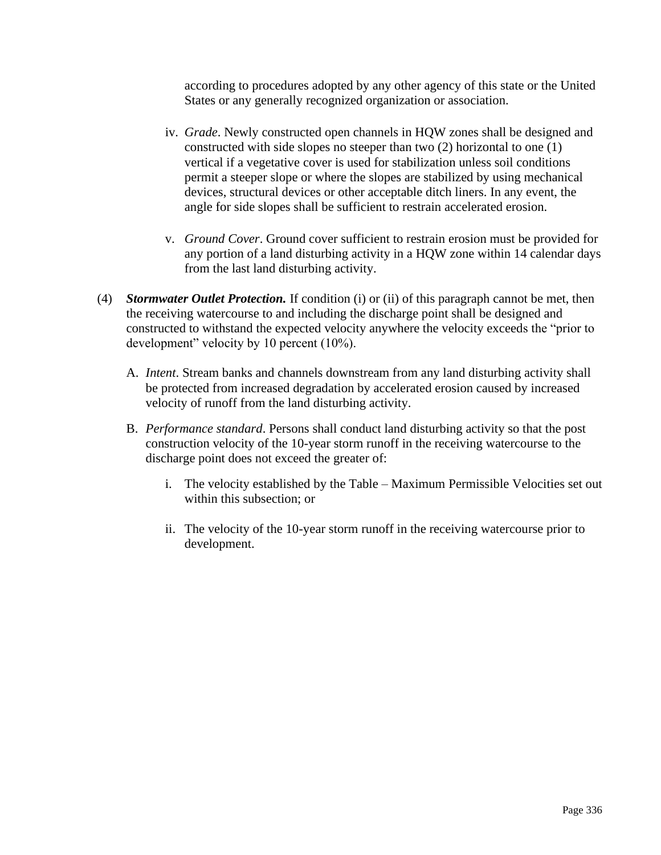according to procedures adopted by any other agency of this state or the United States or any generally recognized organization or association.

- iv. *Grade*. Newly constructed open channels in HQW zones shall be designed and constructed with side slopes no steeper than two (2) horizontal to one (1) vertical if a vegetative cover is used for stabilization unless soil conditions permit a steeper slope or where the slopes are stabilized by using mechanical devices, structural devices or other acceptable ditch liners. In any event, the angle for side slopes shall be sufficient to restrain accelerated erosion.
- v. *Ground Cover*. Ground cover sufficient to restrain erosion must be provided for any portion of a land disturbing activity in a HQW zone within 14 calendar days from the last land disturbing activity.
- (4) *Stormwater Outlet Protection.* If condition (i) or (ii) of this paragraph cannot be met, then the receiving watercourse to and including the discharge point shall be designed and constructed to withstand the expected velocity anywhere the velocity exceeds the "prior to development" velocity by 10 percent (10%).
	- A. *Intent*. Stream banks and channels downstream from any land disturbing activity shall be protected from increased degradation by accelerated erosion caused by increased velocity of runoff from the land disturbing activity.
	- B. *Performance standard*. Persons shall conduct land disturbing activity so that the post construction velocity of the 10-year storm runoff in the receiving watercourse to the discharge point does not exceed the greater of:
		- i. The velocity established by the Table Maximum Permissible Velocities set out within this subsection; or
		- ii. The velocity of the 10-year storm runoff in the receiving watercourse prior to development.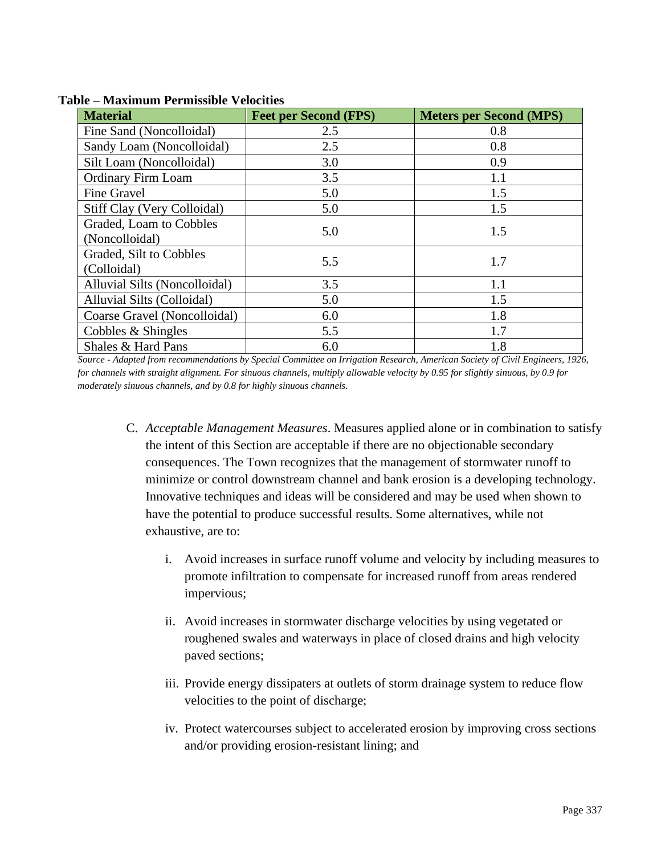| <b>Material</b>               | <b>Feet per Second (FPS)</b> | <b>Meters per Second (MPS)</b> |
|-------------------------------|------------------------------|--------------------------------|
| Fine Sand (Noncolloidal)      | 2.5                          | 0.8                            |
| Sandy Loam (Noncolloidal)     | 2.5                          | 0.8                            |
| Silt Loam (Noncolloidal)      | 3.0                          | 0.9                            |
| <b>Ordinary Firm Loam</b>     | 3.5                          | 1.1                            |
| Fine Gravel                   | 5.0                          | 1.5                            |
| Stiff Clay (Very Colloidal)   | 5.0                          | 1.5                            |
| Graded, Loam to Cobbles       | 5.0                          | 1.5                            |
| (Noncolloidal)                |                              |                                |
| Graded, Silt to Cobbles       | 5.5                          | 1.7                            |
| (Colloidal)                   |                              |                                |
| Alluvial Silts (Noncolloidal) | 3.5                          | 1.1                            |
| Alluvial Silts (Colloidal)    | 5.0                          | 1.5                            |
| Coarse Gravel (Noncolloidal)  | 6.0                          | 1.8                            |
| Cobbles & Shingles            | 5.5                          | 1.7                            |
| Shales & Hard Pans            | 6.0                          | 1.8                            |

**Table – Maximum Permissible Velocities**

*Source - Adapted from recommendations by Special Committee on Irrigation Research, American Society of Civil Engineers, 1926, for channels with straight alignment. For sinuous channels, multiply allowable velocity by 0.95 for slightly sinuous, by 0.9 for moderately sinuous channels, and by 0.8 for highly sinuous channels.*

- C. *Acceptable Management Measures*. Measures applied alone or in combination to satisfy the intent of this Section are acceptable if there are no objectionable secondary consequences. The Town recognizes that the management of stormwater runoff to minimize or control downstream channel and bank erosion is a developing technology. Innovative techniques and ideas will be considered and may be used when shown to have the potential to produce successful results. Some alternatives, while not exhaustive, are to:
	- i. Avoid increases in surface runoff volume and velocity by including measures to promote infiltration to compensate for increased runoff from areas rendered impervious;
	- ii. Avoid increases in stormwater discharge velocities by using vegetated or roughened swales and waterways in place of closed drains and high velocity paved sections;
	- iii. Provide energy dissipaters at outlets of storm drainage system to reduce flow velocities to the point of discharge;
	- iv. Protect watercourses subject to accelerated erosion by improving cross sections and/or providing erosion-resistant lining; and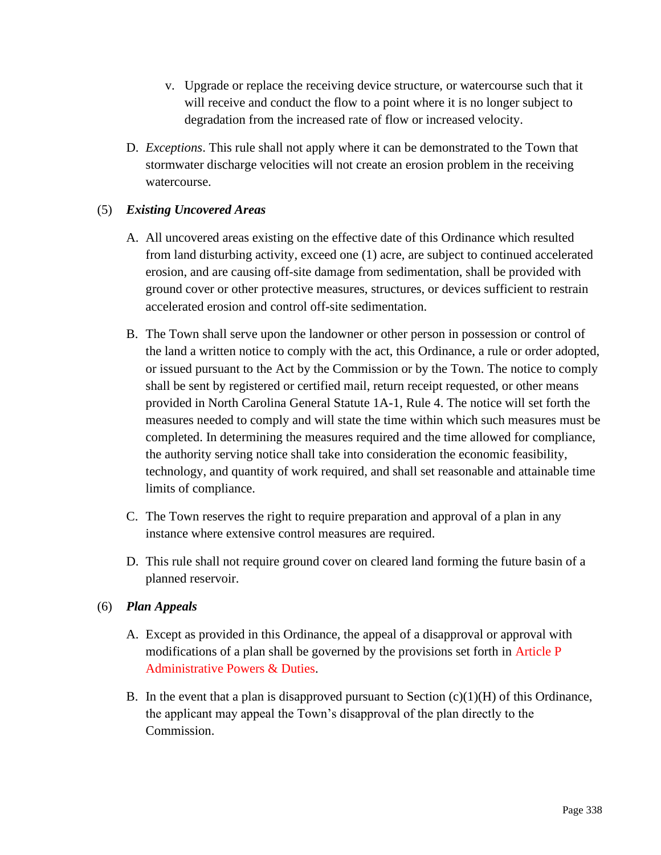- v. Upgrade or replace the receiving device structure, or watercourse such that it will receive and conduct the flow to a point where it is no longer subject to degradation from the increased rate of flow or increased velocity.
- D. *Exceptions*. This rule shall not apply where it can be demonstrated to the Town that stormwater discharge velocities will not create an erosion problem in the receiving watercourse.

# (5) *Existing Uncovered Areas*

- A. All uncovered areas existing on the effective date of this Ordinance which resulted from land disturbing activity, exceed one (1) acre, are subject to continued accelerated erosion, and are causing off-site damage from sedimentation, shall be provided with ground cover or other protective measures, structures, or devices sufficient to restrain accelerated erosion and control off-site sedimentation.
- B. The Town shall serve upon the landowner or other person in possession or control of the land a written notice to comply with the act, this Ordinance, a rule or order adopted, or issued pursuant to the Act by the Commission or by the Town. The notice to comply shall be sent by registered or certified mail, return receipt requested, or other means provided in North Carolina General Statute 1A-1, Rule 4. The notice will set forth the measures needed to comply and will state the time within which such measures must be completed. In determining the measures required and the time allowed for compliance, the authority serving notice shall take into consideration the economic feasibility, technology, and quantity of work required, and shall set reasonable and attainable time limits of compliance.
- C. The Town reserves the right to require preparation and approval of a plan in any instance where extensive control measures are required.
- D. This rule shall not require ground cover on cleared land forming the future basin of a planned reservoir.

## (6) *Plan Appeals*

- A. Except as provided in this Ordinance, the appeal of a disapproval or approval with modifications of a plan shall be governed by the provisions set forth in Article P Administrative Powers & Duties.
- B. In the event that a plan is disapproved pursuant to Section  $(c)(1)(H)$  of this Ordinance, the applicant may appeal the Town's disapproval of the plan directly to the Commission.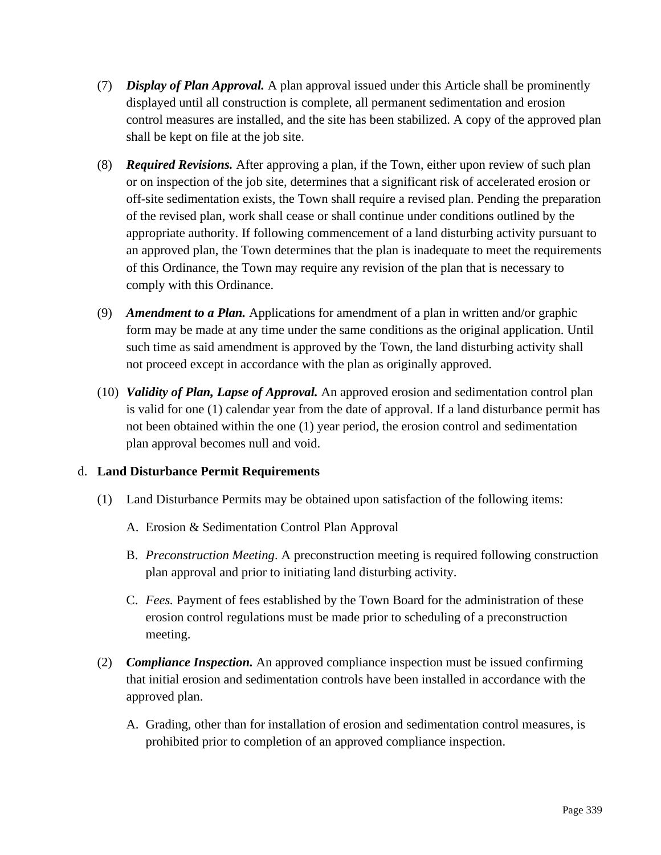- (7) *Display of Plan Approval.* A plan approval issued under this Article shall be prominently displayed until all construction is complete, all permanent sedimentation and erosion control measures are installed, and the site has been stabilized. A copy of the approved plan shall be kept on file at the job site.
- (8) *Required Revisions.* After approving a plan, if the Town, either upon review of such plan or on inspection of the job site, determines that a significant risk of accelerated erosion or off-site sedimentation exists, the Town shall require a revised plan. Pending the preparation of the revised plan, work shall cease or shall continue under conditions outlined by the appropriate authority. If following commencement of a land disturbing activity pursuant to an approved plan, the Town determines that the plan is inadequate to meet the requirements of this Ordinance, the Town may require any revision of the plan that is necessary to comply with this Ordinance.
- (9) *Amendment to a Plan.* Applications for amendment of a plan in written and/or graphic form may be made at any time under the same conditions as the original application. Until such time as said amendment is approved by the Town, the land disturbing activity shall not proceed except in accordance with the plan as originally approved.
- (10) *Validity of Plan, Lapse of Approval.* An approved erosion and sedimentation control plan is valid for one (1) calendar year from the date of approval. If a land disturbance permit has not been obtained within the one (1) year period, the erosion control and sedimentation plan approval becomes null and void.

## d. **Land Disturbance Permit Requirements**

- (1) Land Disturbance Permits may be obtained upon satisfaction of the following items:
	- A. Erosion & Sedimentation Control Plan Approval
	- B. *Preconstruction Meeting*. A preconstruction meeting is required following construction plan approval and prior to initiating land disturbing activity.
	- C. *Fees.* Payment of fees established by the Town Board for the administration of these erosion control regulations must be made prior to scheduling of a preconstruction meeting.
- (2) *Compliance Inspection.* An approved compliance inspection must be issued confirming that initial erosion and sedimentation controls have been installed in accordance with the approved plan.
	- A. Grading, other than for installation of erosion and sedimentation control measures, is prohibited prior to completion of an approved compliance inspection.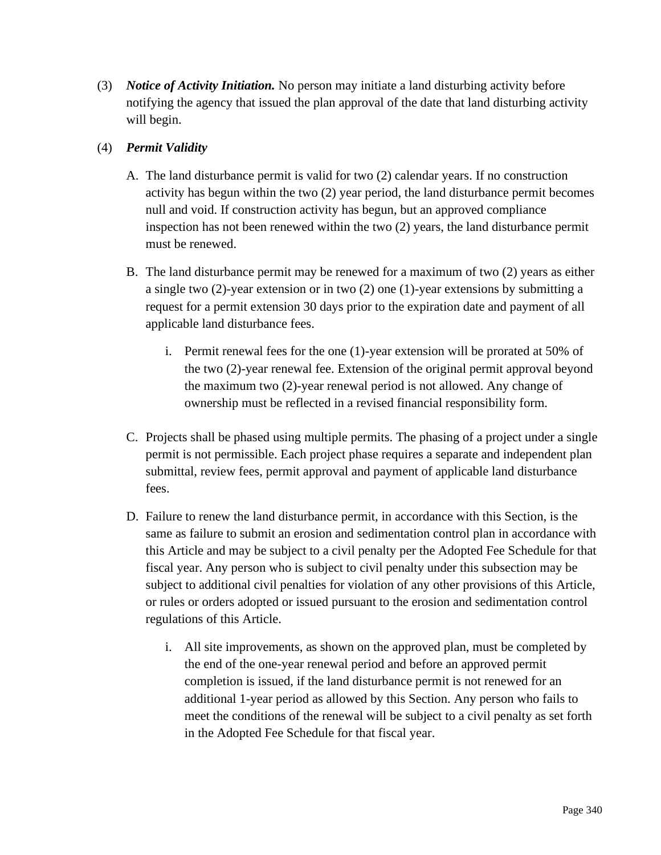(3) *Notice of Activity Initiation.* No person may initiate a land disturbing activity before notifying the agency that issued the plan approval of the date that land disturbing activity will begin.

# (4) *Permit Validity*

- A. The land disturbance permit is valid for two (2) calendar years. If no construction activity has begun within the two (2) year period, the land disturbance permit becomes null and void. If construction activity has begun, but an approved compliance inspection has not been renewed within the two (2) years, the land disturbance permit must be renewed.
- B. The land disturbance permit may be renewed for a maximum of two (2) years as either a single two (2)-year extension or in two (2) one (1)-year extensions by submitting a request for a permit extension 30 days prior to the expiration date and payment of all applicable land disturbance fees.
	- i. Permit renewal fees for the one (1)-year extension will be prorated at 50% of the two (2)-year renewal fee. Extension of the original permit approval beyond the maximum two (2)-year renewal period is not allowed. Any change of ownership must be reflected in a revised financial responsibility form.
- C. Projects shall be phased using multiple permits. The phasing of a project under a single permit is not permissible. Each project phase requires a separate and independent plan submittal, review fees, permit approval and payment of applicable land disturbance fees.
- D. Failure to renew the land disturbance permit, in accordance with this Section, is the same as failure to submit an erosion and sedimentation control plan in accordance with this Article and may be subject to a civil penalty per the Adopted Fee Schedule for that fiscal year. Any person who is subject to civil penalty under this subsection may be subject to additional civil penalties for violation of any other provisions of this Article, or rules or orders adopted or issued pursuant to the erosion and sedimentation control regulations of this Article.
	- i. All site improvements, as shown on the approved plan, must be completed by the end of the one-year renewal period and before an approved permit completion is issued, if the land disturbance permit is not renewed for an additional 1-year period as allowed by this Section. Any person who fails to meet the conditions of the renewal will be subject to a civil penalty as set forth in the Adopted Fee Schedule for that fiscal year.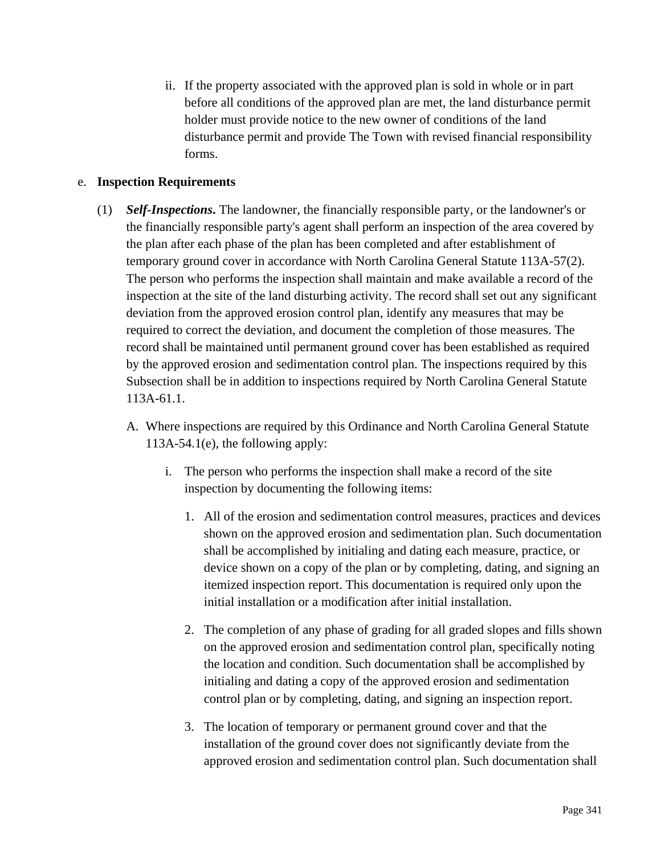ii. If the property associated with the approved plan is sold in whole or in part before all conditions of the approved plan are met, the land disturbance permit holder must provide notice to the new owner of conditions of the land disturbance permit and provide The Town with revised financial responsibility forms.

### e. **Inspection Requirements**

- (1) *Self-Inspections***.** The landowner, the financially responsible party, or the landowner's or the financially responsible party's agent shall perform an inspection of the area covered by the plan after each phase of the plan has been completed and after establishment of temporary ground cover in accordance with North Carolina General Statute 113A-57(2). The person who performs the inspection shall maintain and make available a record of the inspection at the site of the land disturbing activity. The record shall set out any significant deviation from the approved erosion control plan, identify any measures that may be required to correct the deviation, and document the completion of those measures. The record shall be maintained until permanent ground cover has been established as required by the approved erosion and sedimentation control plan. The inspections required by this Subsection shall be in addition to inspections required by North Carolina General Statute 113A-61.1.
	- A. Where inspections are required by this Ordinance and North Carolina General Statute 113A-54.1(e), the following apply:
		- i. The person who performs the inspection shall make a record of the site inspection by documenting the following items:
			- 1. All of the erosion and sedimentation control measures, practices and devices shown on the approved erosion and sedimentation plan. Such documentation shall be accomplished by initialing and dating each measure, practice, or device shown on a copy of the plan or by completing, dating, and signing an itemized inspection report. This documentation is required only upon the initial installation or a modification after initial installation.
			- 2. The completion of any phase of grading for all graded slopes and fills shown on the approved erosion and sedimentation control plan, specifically noting the location and condition. Such documentation shall be accomplished by initialing and dating a copy of the approved erosion and sedimentation control plan or by completing, dating, and signing an inspection report.
			- 3. The location of temporary or permanent ground cover and that the installation of the ground cover does not significantly deviate from the approved erosion and sedimentation control plan. Such documentation shall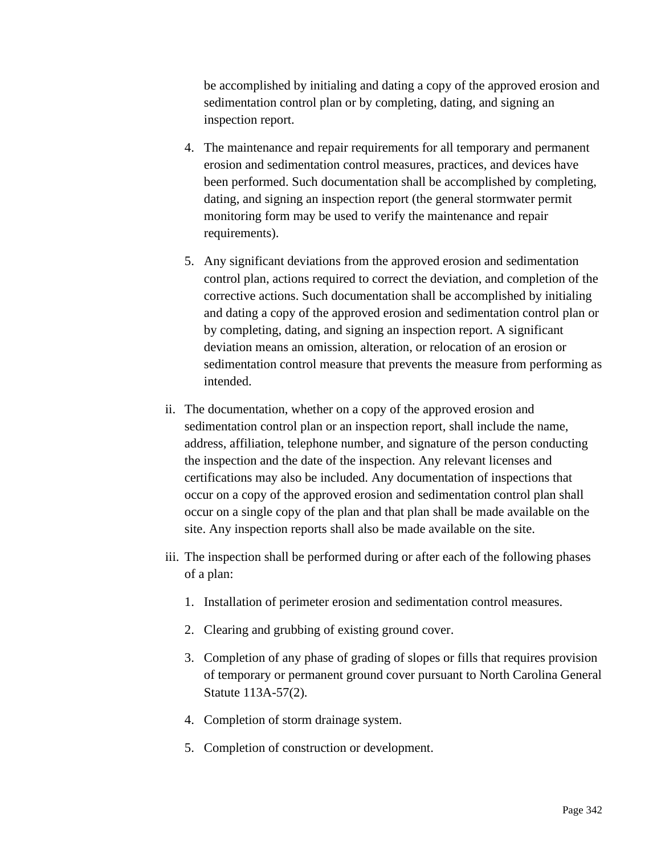be accomplished by initialing and dating a copy of the approved erosion and sedimentation control plan or by completing, dating, and signing an inspection report.

- 4. The maintenance and repair requirements for all temporary and permanent erosion and sedimentation control measures, practices, and devices have been performed. Such documentation shall be accomplished by completing, dating, and signing an inspection report (the general stormwater permit monitoring form may be used to verify the maintenance and repair requirements).
- 5. Any significant deviations from the approved erosion and sedimentation control plan, actions required to correct the deviation, and completion of the corrective actions. Such documentation shall be accomplished by initialing and dating a copy of the approved erosion and sedimentation control plan or by completing, dating, and signing an inspection report. A significant deviation means an omission, alteration, or relocation of an erosion or sedimentation control measure that prevents the measure from performing as intended.
- ii. The documentation, whether on a copy of the approved erosion and sedimentation control plan or an inspection report, shall include the name, address, affiliation, telephone number, and signature of the person conducting the inspection and the date of the inspection. Any relevant licenses and certifications may also be included. Any documentation of inspections that occur on a copy of the approved erosion and sedimentation control plan shall occur on a single copy of the plan and that plan shall be made available on the site. Any inspection reports shall also be made available on the site.
- iii. The inspection shall be performed during or after each of the following phases of a plan:
	- 1. Installation of perimeter erosion and sedimentation control measures.
	- 2. Clearing and grubbing of existing ground cover.
	- 3. Completion of any phase of grading of slopes or fills that requires provision of temporary or permanent ground cover pursuant to North Carolina General Statute 113A-57(2).
	- 4. Completion of storm drainage system.
	- 5. Completion of construction or development.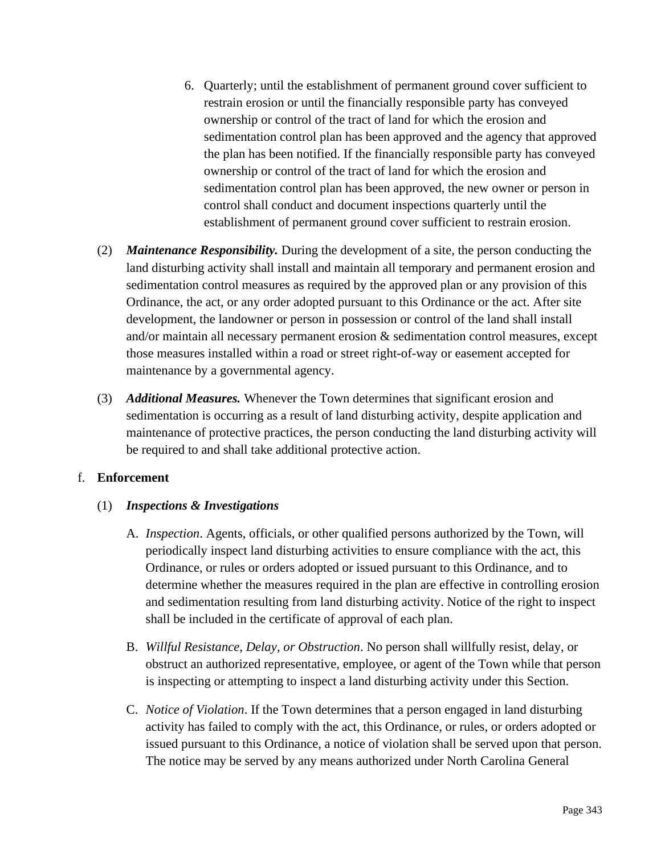- 6. Quarterly; until the establishment of permanent ground cover sufficient to restrain erosion or until the financially responsible party has conveyed ownership or control of the tract of land for which the erosion and sedimentation control plan has been approved and the agency that approved the plan has been notified. If the financially responsible party has conveyed ownership or control of the tract of land for which the erosion and sedimentation control plan has been approved, the new owner or person in control shall conduct and document inspections quarterly until the establishment of permanent ground cover sufficient to restrain erosion.
- (2) *Maintenance Responsibility.* During the development of a site, the person conducting the land disturbing activity shall install and maintain all temporary and permanent erosion and sedimentation control measures as required by the approved plan or any provision of this Ordinance, the act, or any order adopted pursuant to this Ordinance or the act. After site development, the landowner or person in possession or control of the land shall install and/or maintain all necessary permanent erosion & sedimentation control measures, except those measures installed within a road or street right-of-way or easement accepted for maintenance by a governmental agency.
- (3) *Additional Measures.* Whenever the Town determines that significant erosion and sedimentation is occurring as a result of land disturbing activity, despite application and maintenance of protective practices, the person conducting the land disturbing activity will be required to and shall take additional protective action.

## f. **Enforcement**

## (1) *Inspections & Investigations*

- A. *Inspection*. Agents, officials, or other qualified persons authorized by the Town, will periodically inspect land disturbing activities to ensure compliance with the act, this Ordinance, or rules or orders adopted or issued pursuant to this Ordinance, and to determine whether the measures required in the plan are effective in controlling erosion and sedimentation resulting from land disturbing activity. Notice of the right to inspect shall be included in the certificate of approval of each plan.
- B. *Willful Resistance, Delay, or Obstruction*. No person shall willfully resist, delay, or obstruct an authorized representative, employee, or agent of the Town while that person is inspecting or attempting to inspect a land disturbing activity under this Section.
- C. *Notice of Violation*. If the Town determines that a person engaged in land disturbing activity has failed to comply with the act, this Ordinance, or rules, or orders adopted or issued pursuant to this Ordinance, a notice of violation shall be served upon that person. The notice may be served by any means authorized under North Carolina General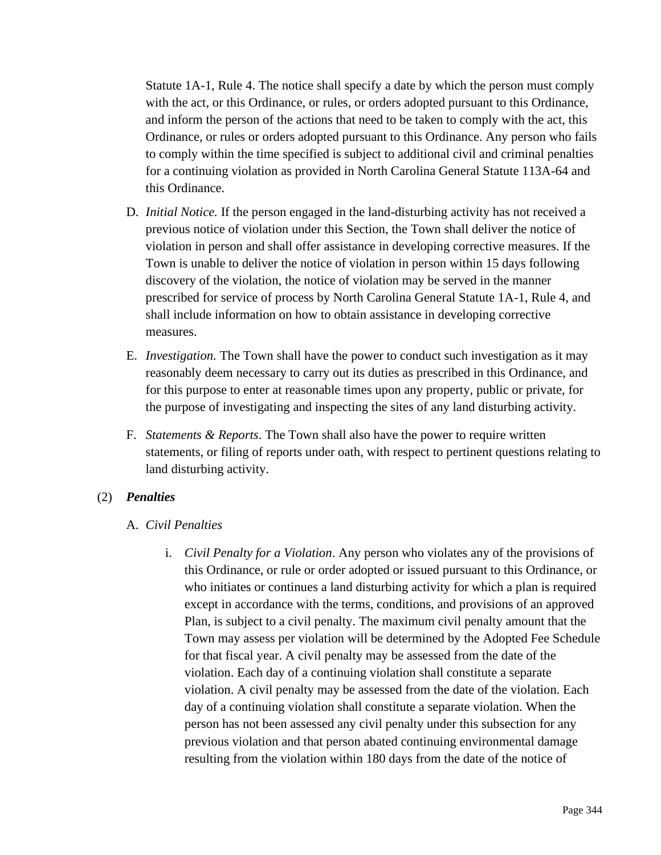Statute 1A-1, Rule 4. The notice shall specify a date by which the person must comply with the act, or this Ordinance, or rules, or orders adopted pursuant to this Ordinance, and inform the person of the actions that need to be taken to comply with the act, this Ordinance, or rules or orders adopted pursuant to this Ordinance. Any person who fails to comply within the time specified is subject to additional civil and criminal penalties for a continuing violation as provided in North Carolina General Statute 113A-64 and this Ordinance.

- D. *Initial Notice.* If the person engaged in the land-disturbing activity has not received a previous notice of violation under this Section, the Town shall deliver the notice of violation in person and shall offer assistance in developing corrective measures. If the Town is unable to deliver the notice of violation in person within 15 days following discovery of the violation, the notice of violation may be served in the manner prescribed for service of process by North Carolina General Statute 1A-1, Rule 4, and shall include information on how to obtain assistance in developing corrective measures.
- E. *Investigation.* The Town shall have the power to conduct such investigation as it may reasonably deem necessary to carry out its duties as prescribed in this Ordinance, and for this purpose to enter at reasonable times upon any property, public or private, for the purpose of investigating and inspecting the sites of any land disturbing activity.
- F. *Statements & Reports*. The Town shall also have the power to require written statements, or filing of reports under oath, with respect to pertinent questions relating to land disturbing activity.

#### (2) *Penalties*

- A. *Civil Penalties*
	- i. *Civil Penalty for a Violation*. Any person who violates any of the provisions of this Ordinance, or rule or order adopted or issued pursuant to this Ordinance, or who initiates or continues a land disturbing activity for which a plan is required except in accordance with the terms, conditions, and provisions of an approved Plan, is subject to a civil penalty. The maximum civil penalty amount that the Town may assess per violation will be determined by the Adopted Fee Schedule for that fiscal year. A civil penalty may be assessed from the date of the violation. Each day of a continuing violation shall constitute a separate violation. A civil penalty may be assessed from the date of the violation. Each day of a continuing violation shall constitute a separate violation. When the person has not been assessed any civil penalty under this subsection for any previous violation and that person abated continuing environmental damage resulting from the violation within 180 days from the date of the notice of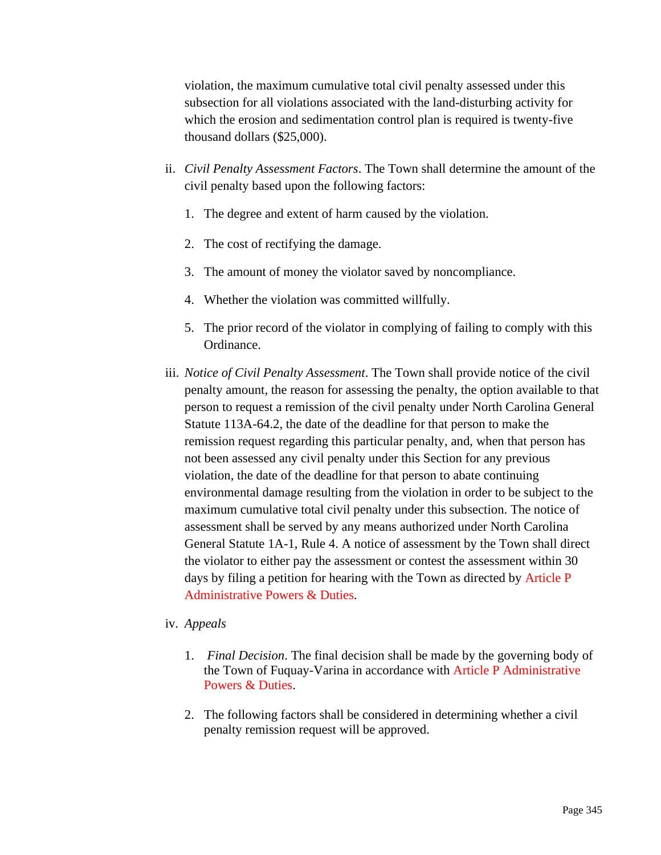violation, the maximum cumulative total civil penalty assessed under this subsection for all violations associated with the land-disturbing activity for which the erosion and sedimentation control plan is required is twenty-five thousand dollars (\$25,000).

- ii. *Civil Penalty Assessment Factors*. The Town shall determine the amount of the civil penalty based upon the following factors:
	- 1. The degree and extent of harm caused by the violation.
	- 2. The cost of rectifying the damage.
	- 3. The amount of money the violator saved by noncompliance.
	- 4. Whether the violation was committed willfully.
	- 5. The prior record of the violator in complying of failing to comply with this Ordinance.
- iii. *Notice of Civil Penalty Assessment*. The Town shall provide notice of the civil penalty amount, the reason for assessing the penalty, the option available to that person to request a remission of the civil penalty under North Carolina General Statute 113A-64.2, the date of the deadline for that person to make the remission request regarding this particular penalty, and, when that person has not been assessed any civil penalty under this Section for any previous violation, the date of the deadline for that person to abate continuing environmental damage resulting from the violation in order to be subject to the maximum cumulative total civil penalty under this subsection. The notice of assessment shall be served by any means authorized under North Carolina General Statute 1A-1, Rule 4. A notice of assessment by the Town shall direct the violator to either pay the assessment or contest the assessment within 30 days by filing a petition for hearing with the Town as directed by Article P Administrative Powers & Duties.

#### iv. *Appeals*

- 1. *Final Decision*. The final decision shall be made by the governing body of the Town of Fuquay-Varina in accordance with Article P Administrative Powers & Duties.
- 2. The following factors shall be considered in determining whether a civil penalty remission request will be approved.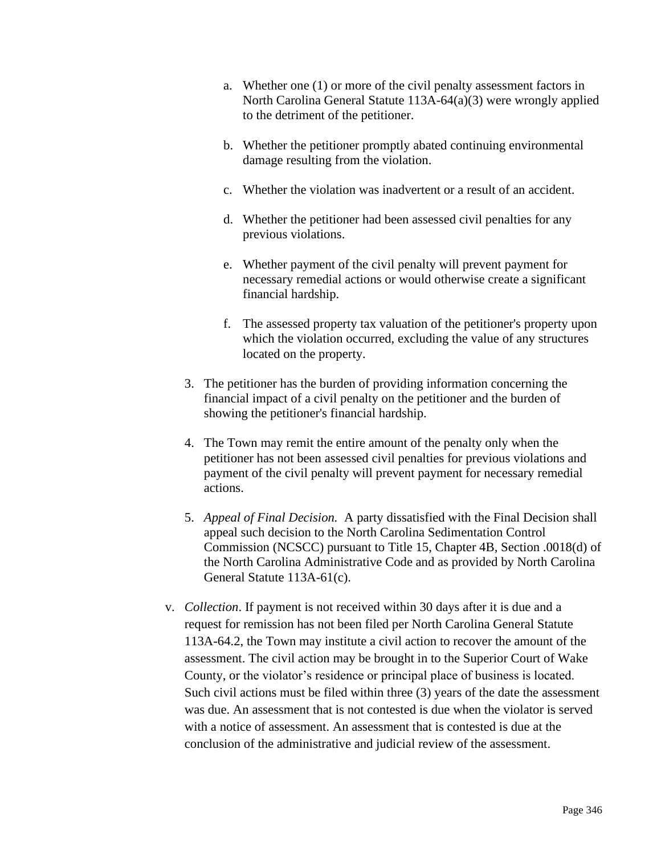- a. Whether one (1) or more of the civil penalty assessment factors in North Carolina General Statute 113A-64(a)(3) were wrongly applied to the detriment of the petitioner.
- b. Whether the petitioner promptly abated continuing environmental damage resulting from the violation.
- c. Whether the violation was inadvertent or a result of an accident.
- d. Whether the petitioner had been assessed civil penalties for any previous violations.
- e. Whether payment of the civil penalty will prevent payment for necessary remedial actions or would otherwise create a significant financial hardship.
- f. The assessed property tax valuation of the petitioner's property upon which the violation occurred, excluding the value of any structures located on the property.
- 3. The petitioner has the burden of providing information concerning the financial impact of a civil penalty on the petitioner and the burden of showing the petitioner's financial hardship.
- 4. The Town may remit the entire amount of the penalty only when the petitioner has not been assessed civil penalties for previous violations and payment of the civil penalty will prevent payment for necessary remedial actions.
- 5. *Appeal of Final Decision.* A party dissatisfied with the Final Decision shall appeal such decision to the North Carolina Sedimentation Control Commission (NCSCC) pursuant to Title 15, Chapter 4B, Section .0018(d) of the North Carolina Administrative Code and as provided by North Carolina General Statute 113A-61(c).
- v. *Collection*. If payment is not received within 30 days after it is due and a request for remission has not been filed per North Carolina General Statute 113A-64.2, the Town may institute a civil action to recover the amount of the assessment. The civil action may be brought in to the Superior Court of Wake County, or the violator's residence or principal place of business is located. Such civil actions must be filed within three (3) years of the date the assessment was due. An assessment that is not contested is due when the violator is served with a notice of assessment. An assessment that is contested is due at the conclusion of the administrative and judicial review of the assessment.